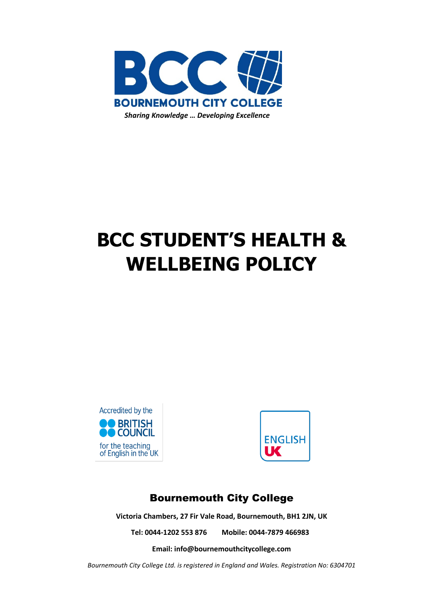

# **BCC STUDENT'S HEALTH & WELLBEING POLICY**





# Bournemouth City College

**Victoria Chambers, 27 Fir Vale Road, Bournemouth, BH1 2JN, UK**

**Tel: 0044-1202 553 876 Mobile: 0044-7879 466983**

**Email[: info@bournemouthcitycollege.com](mailto:info@bournemouthcitycollege.com)**

*Bournemouth City College Ltd. is registered in England and Wales. Registration No: 6304701*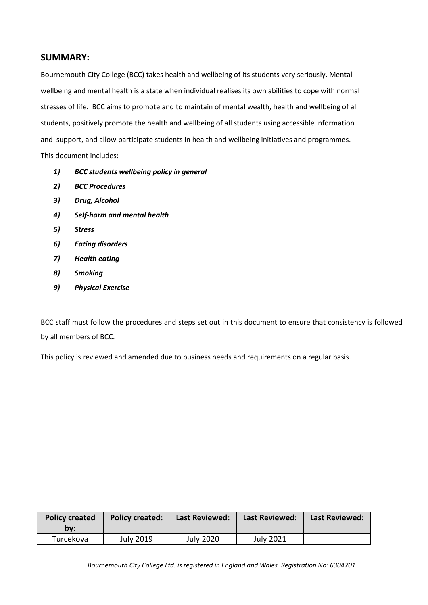# **SUMMARY:**

Bournemouth City College (BCC) takes health and wellbeing of its students very seriously. Mental wellbeing and mental health is a state when individual realises its own abilities to cope with normal stresses of life. BCC aims to promote and to maintain of mental wealth, health and wellbeing of all students, positively promote the health and wellbeing of all students using accessible information and support, and allow participate students in health and wellbeing initiatives and programmes. This document includes:

- *1) BCC students wellbeing policy in general*
- *2) BCC Procedures*
- *3) Drug, Alcohol*
- *4) Self-harm and mental health*
- *5) Stress*
- *6) Eating disorders*
- *7) Health eating*
- *8) Smoking*
- *9) Physical Exercise*

BCC staff must follow the procedures and steps set out in this document to ensure that consistency is followed by all members of BCC.

This policy is reviewed and amended due to business needs and requirements on a regular basis.

| <b>Policy created</b><br>by: | <b>Policy created:</b> | <b>Last Reviewed:</b> | <b>Last Reviewed:</b> | Last Reviewed: |
|------------------------------|------------------------|-----------------------|-----------------------|----------------|
| Turcekova                    | July 2019              | <b>July 2020</b>      | <b>July 2021</b>      |                |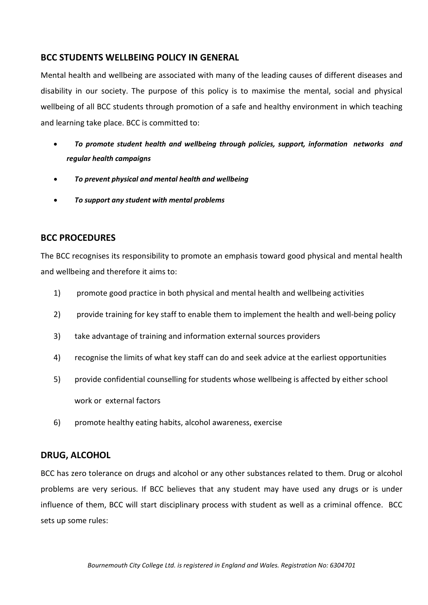# **BCC STUDENTS WELLBEING POLICY IN GENERAL**

Mental health and wellbeing are associated with many of the leading causes of different diseases and disability in our society. The purpose of this policy is to maximise the mental, social and physical wellbeing of all BCC students through promotion of a safe and healthy environment in which teaching and learning take place. BCC is committed to:

- *To promote student health and wellbeing through policies, support, information networks and regular health campaigns*
- *To prevent physical and mental health and wellbeing*
- *To support any student with mental problems*

# **BCC PROCEDURES**

The BCC recognises its responsibility to promote an emphasis toward good physical and mental health and wellbeing and therefore it aims to:

- 1) promote good practice in both physical and mental health and wellbeing activities
- 2) provide training for key staff to enable them to implement the health and well-being policy
- 3) take advantage of training and information external sources providers
- 4) recognise the limits of what key staff can do and seek advice at the earliest opportunities
- 5) provide confidential counselling for students whose wellbeing is affected by either school work or external factors
- 6) promote healthy eating habits, alcohol awareness, exercise

#### **DRUG, ALCOHOL**

BCC has zero tolerance on drugs and alcohol or any other substances related to them. Drug or alcohol problems are very serious. If BCC believes that any student may have used any drugs or is under influence of them, BCC will start disciplinary process with student as well as a criminal offence. BCC sets up some rules: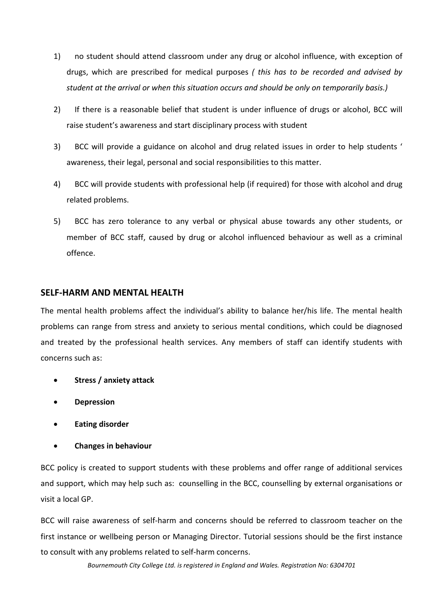- 1) no student should attend classroom under any drug or alcohol influence, with exception of drugs, which are prescribed for medical purposes *( this has to be recorded and advised by student at the arrival or when this situation occurs and should be only on temporarily basis.)*
- 2) If there is a reasonable belief that student is under influence of drugs or alcohol, BCC will raise student's awareness and start disciplinary process with student
- 3) BCC will provide a guidance on alcohol and drug related issues in order to help students ' awareness, their legal, personal and social responsibilities to this matter.
- 4) BCC will provide students with professional help (if required) for those with alcohol and drug related problems.
- 5) BCC has zero tolerance to any verbal or physical abuse towards any other students, or member of BCC staff, caused by drug or alcohol influenced behaviour as well as a criminal offence.

#### **SELF-HARM AND MENTAL HEALTH**

The mental health problems affect the individual's ability to balance her/his life. The mental health problems can range from stress and anxiety to serious mental conditions, which could be diagnosed and treated by the professional health services. Any members of staff can identify students with concerns such as:

- **Stress / anxiety attack**
- **Depression**
- **Eating disorder**
- **Changes in behaviour**

BCC policy is created to support students with these problems and offer range of additional services and support, which may help such as: counselling in the BCC, counselling by external organisations or visit a local GP.

BCC will raise awareness of self-harm and concerns should be referred to classroom teacher on the first instance or wellbeing person or Managing Director. Tutorial sessions should be the first instance to consult with any problems related to self-harm concerns.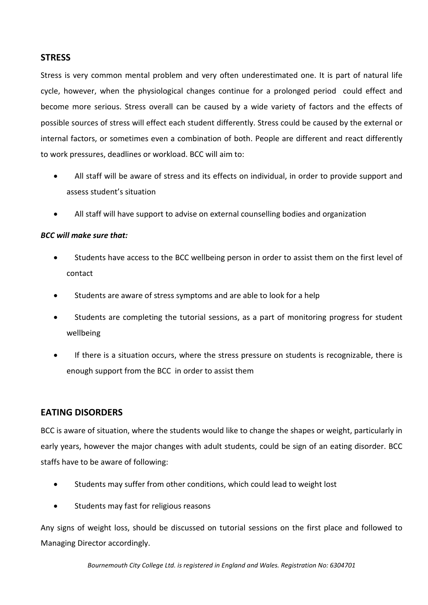# **STRESS**

Stress is very common mental problem and very often underestimated one. It is part of natural life cycle, however, when the physiological changes continue for a prolonged period could effect and become more serious. Stress overall can be caused by a wide variety of factors and the effects of possible sources of stress will effect each student differently. Stress could be caused by the external or internal factors, or sometimes even a combination of both. People are different and react differently to work pressures, deadlines or workload. BCC will aim to:

- All staff will be aware of stress and its effects on individual, in order to provide support and assess student's situation
- All staff will have support to advise on external counselling bodies and organization

#### *BCC will make sure that:*

- Students have access to the BCC wellbeing person in order to assist them on the first level of contact
- Students are aware of stress symptoms and are able to look for a help
- Students are completing the tutorial sessions, as a part of monitoring progress for student wellbeing
- If there is a situation occurs, where the stress pressure on students is recognizable, there is enough support from the BCC in order to assist them

# **EATING DISORDERS**

BCC is aware of situation, where the students would like to change the shapes or weight, particularly in early years, however the major changes with adult students, could be sign of an eating disorder. BCC staffs have to be aware of following:

- Students may suffer from other conditions, which could lead to weight lost
- Students may fast for religious reasons

Any signs of weight loss, should be discussed on tutorial sessions on the first place and followed to Managing Director accordingly.